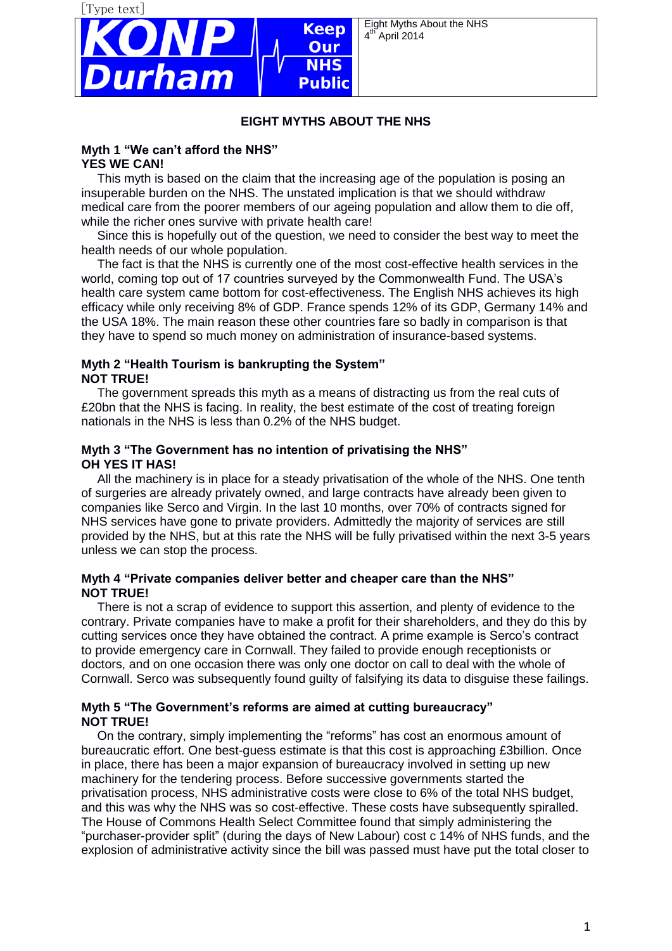

Eight Myths About the NHS 4  $\sqrt{\phantom{a}}$ April 2014

### **EIGHT MYTHS ABOUT THE NHS**

#### **Myth 1 "We can't afford the NHS" YES WE CAN!**

This myth is based on the claim that the increasing age of the population is posing an insuperable burden on the NHS. The unstated implication is that we should withdraw medical care from the poorer members of our ageing population and allow them to die off, while the richer ones survive with private health care!

Since this is hopefully out of the question, we need to consider the best way to meet the health needs of our whole population.

The fact is that the NHS is currently one of the most cost-effective health services in the world, coming top out of 17 countries surveyed by the Commonwealth Fund. The USA's health care system came bottom for cost-effectiveness. The English NHS achieves its high efficacy while only receiving 8% of GDP. France spends 12% of its GDP, Germany 14% and the USA 18%. The main reason these other countries fare so badly in comparison is that they have to spend so much money on administration of insurance-based systems.

### **Myth 2 "Health Tourism is bankrupting the System" NOT TRUE!**

The government spreads this myth as a means of distracting us from the real cuts of £20bn that the NHS is facing. In reality, the best estimate of the cost of treating foreign nationals in the NHS is less than 0.2% of the NHS budget.

#### **Myth 3 "The Government has no intention of privatising the NHS" OH YES IT HAS!**

All the machinery is in place for a steady privatisation of the whole of the NHS. One tenth of surgeries are already privately owned, and large contracts have already been given to companies like Serco and Virgin. In the last 10 months, over 70% of contracts signed for NHS services have gone to private providers. Admittedly the majority of services are still provided by the NHS, but at this rate the NHS will be fully privatised within the next 3-5 years unless we can stop the process.

#### **Myth 4 "Private companies deliver better and cheaper care than the NHS" NOT TRUE!**

There is not a scrap of evidence to support this assertion, and plenty of evidence to the contrary. Private companies have to make a profit for their shareholders, and they do this by cutting services once they have obtained the contract. A prime example is Serco's contract to provide emergency care in Cornwall. They failed to provide enough receptionists or doctors, and on one occasion there was only one doctor on call to deal with the whole of Cornwall. Serco was subsequently found guilty of falsifying its data to disguise these failings.

## **Myth 5 "The Government's reforms are aimed at cutting bureaucracy" NOT TRUE!**

On the contrary, simply implementing the "reforms" has cost an enormous amount of bureaucratic effort. One best-guess estimate is that this cost is approaching £3billion. Once in place, there has been a major expansion of bureaucracy involved in setting up new machinery for the tendering process. Before successive governments started the privatisation process, NHS administrative costs were close to 6% of the total NHS budget, and this was why the NHS was so cost-effective. These costs have subsequently spiralled. The House of Commons Health Select Committee found that simply administering the "purchaser-provider split" (during the days of New Labour) cost c 14% of NHS funds, and the explosion of administrative activity since the bill was passed must have put the total closer to